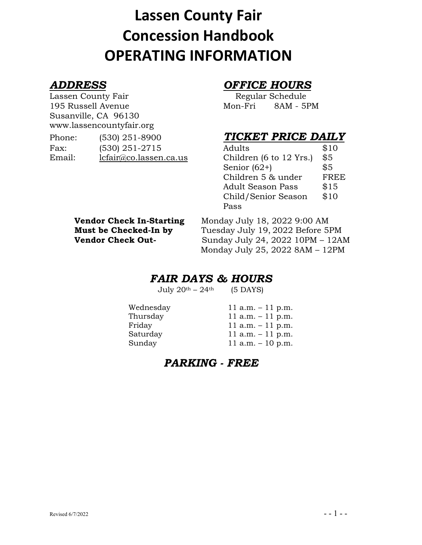# **Lassen County Fair Concession Handbook OPERATING INFORMATION**

Lassen County Fair **Regular Schedule** 195 Russell Avenue Mon-Fri 8AM - 5PM Susanville, CA 96130 www.lassencountyfair.org

| Phone: | $(530)$ 251-8900       | TICKET PRICE DAIL             |      |
|--------|------------------------|-------------------------------|------|
| Fax:   | $(530)$ 251-2715       | Adults                        | \$10 |
| Email: | lcfair@co.lassen.ca.us | Children (6 to $12$ Yrs.) \$5 |      |

## *ADDRESS OFFICE HOURS*

## **TICKET PRICE DAILY**

| Adults                   | \$10 |
|--------------------------|------|
| Children (6 to 12 Yrs.)  | \$5  |
| Senior $(62+)$           | \$5  |
| Children 5 & under       | FREE |
| <b>Adult Season Pass</b> | \$15 |
| Child/Senior Season      | \$10 |
| Pass                     |      |

| <b>Vendor Check In-Starting</b> |
|---------------------------------|
| Must be Checked-In by           |
| <b>Vendor Check Out-</b>        |

**Vendor Check In-Starting** Monday July 18, 2022 9:00 AM **Must be Checked-In by** Tuesday July 19, 2022 Before 5PM **Vendor Check Out-** Sunday July 24, 2022 10PM – 12AM Monday July 25, 2022 8AM – 12PM

## *FAIR DAYS & HOURS*

July  $20<sup>th</sup> - 24<sup>th</sup>$  (5 DAYS)

Wednesday  $11 a.m. - 11 p.m.$ Thursday 11 a.m. - 11 p.m. Friday 11 a.m. - 11 p.m. Saturday 11 a.m. - 11 p.m. Sunday 11 a.m. – 10 p.m.

## *PARKING - FREE*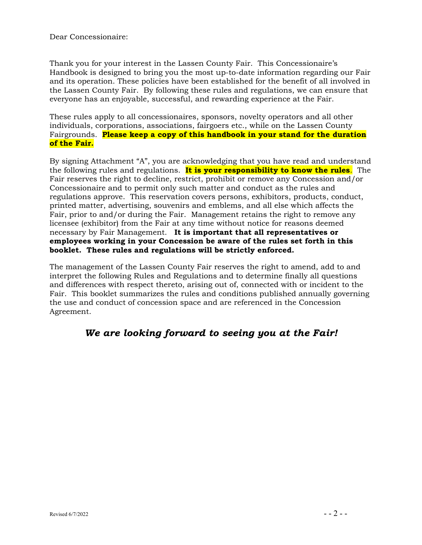Dear Concessionaire:

Thank you for your interest in the Lassen County Fair. This Concessionaire's Handbook is designed to bring you the most up-to-date information regarding our Fair and its operation. These policies have been established for the benefit of all involved in the Lassen County Fair. By following these rules and regulations, we can ensure that everyone has an enjoyable, successful, and rewarding experience at the Fair.

These rules apply to all concessionaires, sponsors, novelty operators and all other individuals, corporations, associations, fairgoers etc., while on the Lassen County Fairgrounds. **Please keep a copy of this handbook in your stand for the duration of the Fair.**

By signing Attachment "A", you are acknowledging that you have read and understand the following rules and regulations. **It is your responsibility to know the rules**. The Fair reserves the right to decline, restrict, prohibit or remove any Concession and/or Concessionaire and to permit only such matter and conduct as the rules and regulations approve. This reservation covers persons, exhibitors, products, conduct, printed matter, advertising, souvenirs and emblems, and all else which affects the Fair, prior to and/or during the Fair. Management retains the right to remove any licensee (exhibitor) from the Fair at any time without notice for reasons deemed necessary by Fair Management. **It is important that all representatives or employees working in your Concession be aware of the rules set forth in this booklet. These rules and regulations will be strictly enforced.**

The management of the Lassen County Fair reserves the right to amend, add to and interpret the following Rules and Regulations and to determine finally all questions and differences with respect thereto, arising out of, connected with or incident to the Fair. This booklet summarizes the rules and conditions published annually governing the use and conduct of concession space and are referenced in the Concession Agreement.

## *We are looking forward to seeing you at the Fair!*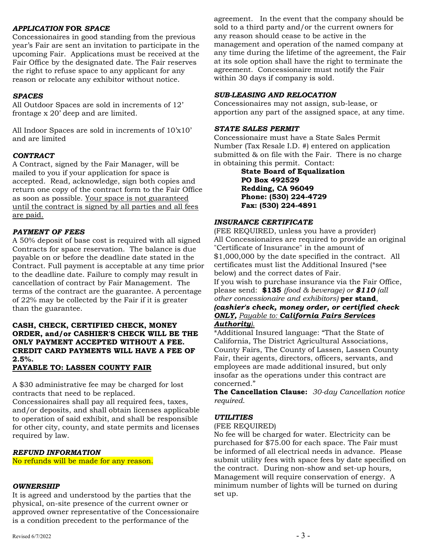#### *APPLICATION* **FOR** *SPACE*

Concessionaires in good standing from the previous year's Fair are sent an invitation to participate in the upcoming Fair. Applications must be received at the Fair Office by the designated date. The Fair reserves the right to refuse space to any applicant for any reason or relocate any exhibitor without notice.

#### *SPACES*

All Outdoor Spaces are sold in increments of 12' frontage x 20' deep and are limited.

All Indoor Spaces are sold in increments of 10'x10' and are limited

#### *CONTRACT*

A Contract, signed by the Fair Manager, will be mailed to you if your application for space is accepted. Read, acknowledge, sign both copies and return one copy of the contract form to the Fair Office as soon as possible. Your space is not guaranteed until the contract is signed by all parties and all fees are paid.

#### *PAYMENT OF FEES*

A 50% deposit of base cost is required with all signed Contracts for space reservation. The balance is due payable on or before the deadline date stated in the Contract. Full payment is acceptable at any time prior to the deadline date. Failure to comply may result in cancellation of contract by Fair Management. The terms of the contract are the guarantee. A percentage of 22% may be collected by the Fair if it is greater than the guarantee.

#### **CASH, CHECK, CERTIFIED CHECK, MONEY ORDER, and/or CASHIER'S CHECK WILL BE THE ONLY PAYMENT ACCEPTED WITHOUT A FEE. CREDIT CARD PAYMENTS WILL HAVE A FEE OF 2.5%.**

#### **PAYABLE TO: LASSEN COUNTY FAIR**

A \$30 administrative fee may be charged for lost contracts that need to be replaced.

Concessionaires shall pay all required fees, taxes, and/or deposits, and shall obtain licenses applicable to operation of said exhibit, and shall be responsible for other city, county, and state permits and licenses required by law.

#### *REFUND INFORMATION*

No refunds will be made for any reason.

#### *OWNERSHIP*

It is agreed and understood by the parties that the physical, on-site presence of the current owner or approved owner representative of the Concessionaire is a condition precedent to the performance of the

agreement. In the event that the company should be sold to a third party and/or the current owners for any reason should cease to be active in the management and operation of the named company at any time during the lifetime of the agreement, the Fair at its sole option shall have the right to terminate the agreement. Concessionaire must notify the Fair within 30 days if company is sold.

### *SUB-LEASING AND RELOCATION*

Concessionaires may not assign, sub-lease, or apportion any part of the assigned space, at any time.

#### *STATE SALES PERMIT*

Concessionaire must have a State Sales Permit Number (Tax Resale I.D. #) entered on application submitted & on file with the Fair. There is no charge in obtaining this permit. Contact:

> **State Board of Equalization PO Box 492529 Redding, CA 96049 Phone: (530) 224-4729 Fax: (530) 224-4891**

#### *INSURANCE CERTIFICATE*

(FEE REQUIRED, unless you have a provider) All Concessionaires are required to provide an original "Certificate of Insurance" in the amount of \$1,000,000 by the date specified in the contract. All certificates must list the Additional Insured (\*see below) and the correct dates of Fair.

If you wish to purchase insurance via the Fair Office, please send: **\$135** *(food & beverage) or \$110 (all other concessionaire and exhibitors)* **per stand**,

#### *(cashier's check, money order, or certified check ONLY, Payable to: California Fairs Services Authority).*

\*Additional Insured language: "That the State of California, The District Agricultural Associations, County Fairs, The County of Lassen, Lassen County Fair, their agents, directors, officers, servants, and employees are made additional insured, but only insofar as the operations under this contract are concerned."

**The Cancellation Clause:** *30-day Cancellation notice required*.

#### *UTILITIES*

(FEE REQUIRED)

No fee will be charged for water. Electricity can be purchased for \$75.00 for each space. The Fair must be informed of all electrical needs in advance. Please submit utility fees with space fees by date specified on the contract. During non-show and set-up hours, Management will require conservation of energy. A minimum number of lights will be turned on during set up.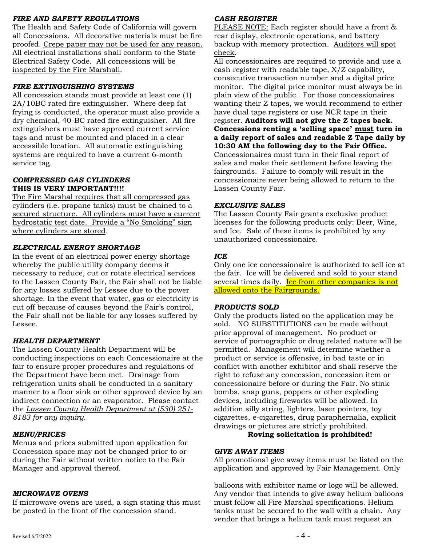#### *FIRE AND SAFETY REGULATIONS*

The Health and Safety Code of California will govern all Concessions. All decorative materials must be fire proofed. Crepe paper may not be used for any reason. All electrical installations shall conform to the State Electrical Safety Code. All concessions will be inspected by the Fire Marshall.

#### *FIRE EXTINGUISHING SYSTEMS*

All concession stands must provide at least one (1) 2A/10BC rated fire extinguisher. Where deep fat frying is conducted, the operator must also provide a dry chemical, 40-BC rated fire extinguisher. All fire extinguishers must have approved current service tags and must be mounted and placed in a clear accessible location. All automatic extinguishing systems are required to have a current 6-month service tag.

#### *COMPRESSED GAS CYLINDERS* **THIS IS VERY IMPORTANT!!!!**

The Fire Marshal requires that all compressed gas cylinders (i.e. propane tanks) must be chained to a secured structure. All cylinders must have a current hydrostatic test date. Provide a "No Smoking" sign where cylinders are stored.

#### *ELECTRICAL ENERGY SHORTAGE*

In the event of an electrical power energy shortage whereby the public utility company deems it necessary to reduce, cut or rotate electrical services to the Lassen County Fair, the Fair shall not be liable for any losses suffered by Lessee due to the power shortage. In the event that water, gas or electricity is cut off because of causes beyond the Fair's control, the Fair shall not be liable for any losses suffered by Lessee.

#### *HEALTH DEPARTMENT*

The Lassen County Health Department will be conducting inspections on each Concessionaire at the fair to ensure proper procedures and regulations of the Department have been met. Drainage from refrigeration units shall be conducted in a sanitary manner to a floor sink or other approved device by an indirect connection or an evaporator. Please contact the *Lassen County Health Department at (530) 251- 8183 for any inquiry.*

#### *MENU/PRICES*

Menus and prices submitted upon application for Concession space may not be changed prior to or during the Fair without written notice to the Fair Manager and approval thereof.

#### *MICROWAVE OVENS*

If microwave ovens are used, a sign stating this must be posted in the front of the concession stand.

#### *CASH REGISTER*

PLEASE NOTE: Each register should have a front & rear display, electronic operations, and battery backup with memory protection. Auditors will spot check.

All concessionaires are required to provide and use a cash register with readable tape, X/Z capability, consecutive transaction number and a digital price monitor. The digital price monitor must always be in plain view of the public. For those concessionaires wanting their Z tapes, we would recommend to either have dual tape registers or use NCR tape in their register. **Auditors will not give the Z tapes back. Concessions renting a 'selling space' must turn in a daily report of sales and readable Z Tape daily by 10:30 AM the following day to the Fair Office.**  Concessionaires must turn in their final report of sales and make their settlement before leaving the fairgrounds. Failure to comply will result in the concessionaire never being allowed to return to the Lassen County Fair.

#### *EXCLUSIVE SALES*

The Lassen County Fair grants exclusive product licenses for the following products only: Beer, Wine, and Ice. Sale of these items is prohibited by any unauthorized concessionaire.

#### *ICE*

Only one ice concessionaire is authorized to sell ice at the fair. Ice will be delivered and sold to your stand several times daily. Ice from other companies is not allowed onto the Fairgrounds.

#### *PRODUCTS SOLD*

Only the products listed on the application may be sold. NO SUBSTITUTIONS can be made without prior approval of management. No product or service of pornographic or drug related nature will be permitted. Management will determine whether a product or service is offensive, in bad taste or in conflict with another exhibitor and shall reserve the right to refuse any concession, concession item or concessionaire before or during the Fair. No stink bombs, snap guns, poppers or other exploding devices, including fireworks will be allowed. In addition silly string, lighters, laser pointers, toy cigarettes, e-cigarettes, drug paraphernalia, explicit drawings or pictures are strictly prohibited.

#### **Roving solicitation is prohibited!**

#### *GIVE AWAY ITEMS*

All promotional give away items must be listed on the application and approved by Fair Management. Only

balloons with exhibitor name or logo will be allowed. Any vendor that intends to give away helium balloons must follow all Fire Marshal specifications. Helium tanks must be secured to the wall with a chain. Any vendor that brings a helium tank must request an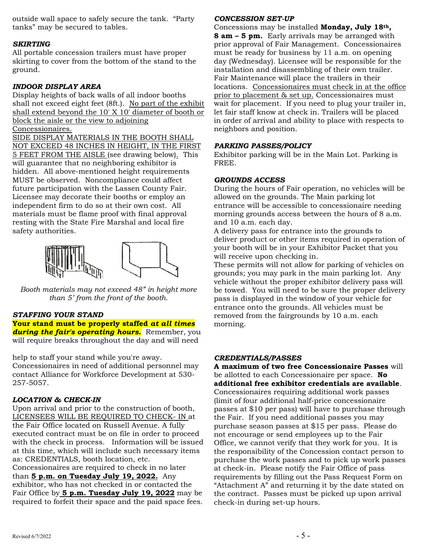outside wall space to safely secure the tank. "Party tanks" may be secured to tables.

#### *SKIRTING*

All portable concession trailers must have proper skirting to cover from the bottom of the stand to the ground.

#### *INDOOR DISPLAY AREA*

Display heights of back walls of all indoor booths shall not exceed eight feet (8ft.). No part of the exhibit shall extend beyond the 10' X 10' diameter of booth or block the aisle or the view to adjoining Concessionaires.

SIDE DISPLAY MATERIALS IN THE BOOTH SHALL NOT EXCEED 48 INCHES IN HEIGHT, IN THE FIRST 5 FEET FROM THE AISLE (see drawing below). This will guarantee that no neighboring exhibitor is hidden. All above-mentioned height requirements MUST be observed. Noncompliance could affect future participation with the Lassen County Fair. Licensee may decorate their booths or employ an independent firm to do so at their own cost. All materials must be flame proof with final approval resting with the State Fire Marshal and local fire safety authorities.



*Booth materials may not exceed 48" in height more than 5' from the front of the booth.*

#### *STAFFING YOUR STAND*

**Your stand must be properly staffed** *at all times during the fair's operating hours***.** Remember, you will require breaks throughout the day and will need

help to staff your stand while you're away.

Concessionaires in need of additional personnel may contact Alliance for Workforce Development at 530- 257-5057.

#### *LOCATION & CHECK-IN*

Upon arrival and prior to the construction of booth, LICENSEES WILL BE REQUIRED TO CHECK- IN at the Fair Office located on Russell Avenue. A fully executed contract must be on file in order to proceed with the check in process. Information will be issued at this time, which will include such necessary items as: CREDENTIALS, booth location, etc.

Concessionaires are required to check in no later than **5 p.m. on Tuesday July 19, 2022.** Any exhibitor, who has not checked in or contacted the Fair Office by **5 p.m. Tuesday July 19, 2022** may be required to forfeit their space and the paid space fees.

#### *CONCESSION SET-UP*

Concessions may be installed **Monday, July 18th, 8 am – 5 pm.** Early arrivals may be arranged with prior approval of Fair Management. Concessionaires must be ready for business by 11 a.m. on opening day (Wednesday). Licensee will be responsible for the installation and disassembling of their own trailer. Fair Maintenance will place the trailers in their locations. Concessionaires must check in at the office prior to placement & set up. Concessionaires must wait for placement. If you need to plug your trailer in, let fair staff know at check in. Trailers will be placed in order of arrival and ability to place with respects to neighbors and position.

#### *PARKING PASSES/POLICY*

Exhibitor parking will be in the Main Lot. Parking is FREE.

#### *GROUNDS ACCESS*

During the hours of Fair operation, no vehicles will be allowed on the grounds. The Main parking lot entrance will be accessible to concessionaire needing morning grounds access between the hours of 8 a.m. and 10 a.m. each day.

A delivery pass for entrance into the grounds to deliver product or other items required in operation of your booth will be in your Exhibitor Packet that you will receive upon checking in.

These permits will not allow for parking of vehicles on grounds; you may park in the main parking lot. Any vehicle without the proper exhibitor delivery pass will be towed. You will need to be sure the proper delivery pass is displayed in the window of your vehicle for entrance onto the grounds. All vehicles must be removed from the fairgrounds by 10 a.m. each morning.

#### *CREDENTIALS/PASSES*

**A maximum of two free Concessionaire Passes** will be allotted to each Concessionaire per space. **No additional free exhibitor credentials are available**. Concessionaires requiring additional work passes (limit of four additional half-price concessionaire passes at \$10 per pass) will have to purchase through the Fair. If you need additional passes you may purchase season passes at \$15 per pass. Please do not encourage or send employees up to the Fair Office, we cannot verify that they work for you. It is the responsibility of the Concession contact person to purchase the work passes and to pick up work passes at check-in. Please notify the Fair Office of pass requirements by filling out the Pass Request Form on "Attachment A" and returning it by the date stated on the contract. Passes must be picked up upon arrival check-in during set-up hours.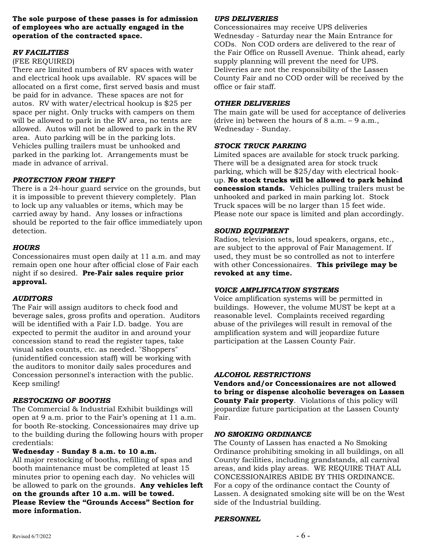#### **The sole purpose of these passes is for admission of employees who are actually engaged in the operation of the contracted space.**

#### *RV FACILITIES*

#### (FEE REQUIRED)

There are limited numbers of RV spaces with water and electrical hook ups available. RV spaces will be allocated on a first come, first served basis and must be paid for in advance. These spaces are not for autos. RV with water/electrical hookup is \$25 per space per night. Only trucks with campers on them will be allowed to park in the RV area, no tents are allowed. Autos will not be allowed to park in the RV area. Auto parking will be in the parking lots. Vehicles pulling trailers must be unhooked and parked in the parking lot. Arrangements must be made in advance of arrival.

#### *PROTECTION FROM THEFT*

There is a 24-hour guard service on the grounds, but it is impossible to prevent thievery completely. Plan to lock up any valuables or items, which may be carried away by hand. Any losses or infractions should be reported to the fair office immediately upon detection.

#### *HOURS*

Concessionaires must open daily at 11 a.m. and may remain open one hour after official close of Fair each night if so desired. **Pre-Fair sales require prior approval.**

#### *AUDITORS*

The Fair will assign auditors to check food and beverage sales, gross profits and operation. Auditors will be identified with a Fair I.D. badge. You are expected to permit the auditor in and around your concession stand to read the register tapes, take visual sales counts, etc. as needed. "Shoppers" (unidentified concession staff) will be working with the auditors to monitor daily sales procedures and Concession personnel's interaction with the public. Keep smiling!

#### *RESTOCKING OF BOOTHS*

The Commercial & Industrial Exhibit buildings will open at 9 a.m. prior to the Fair's opening at 11 a.m. for booth Re-stocking. Concessionaires may drive up to the building during the following hours with proper credentials:

#### **Wednesday - Sunday 8 a.m. to 10 a.m.**

All major restocking of booths, refilling of spas and booth maintenance must be completed at least 15 minutes prior to opening each day. No vehicles will be allowed to park on the grounds. **Any vehicles left on the grounds after 10 a.m. will be towed. Please Review the "Grounds Access" Section for more information.**

### *UPS DELIVERIES*

Concessionaires may receive UPS deliveries Wednesday - Saturday near the Main Entrance for CODs. Non COD orders are delivered to the rear of the Fair Office on Russell Avenue. Think ahead, early supply planning will prevent the need for UPS. Deliveries are not the responsibility of the Lassen County Fair and no COD order will be received by the office or fair staff.

#### *OTHER DELIVERIES*

The main gate will be used for acceptance of deliveries (drive in) between the hours of  $8$  a.m.  $-9$  a.m., Wednesday - Sunday.

#### *STOCK TRUCK PARKING*

Limited spaces are available for stock truck parking. There will be a designated area for stock truck parking, which will be \$25/day with electrical hookup. **No stock trucks will be allowed to park behind concession stands.** Vehicles pulling trailers must be unhooked and parked in main parking lot. Stock Truck spaces will be no larger than 15 feet wide. Please note our space is limited and plan accordingly.

#### *SOUND EQUIPMENT*

Radios, television sets, loud speakers, organs, etc., are subject to the approval of Fair Management. If used, they must be so controlled as not to interfere with other Concessionaires. **This privilege may be revoked at any time.**

#### *VOICE AMPLIFICATION SYSTEMS*

Voice amplification systems will be permitted in buildings. However, the volume MUST be kept at a reasonable level. Complaints received regarding abuse of the privileges will result in removal of the amplification system and will jeopardize future participation at the Lassen County Fair.

#### *ALCOHOL RESTRICTIONS*

**Vendors and/or Concessionaires are not allowed to bring or dispense alcoholic beverages on Lassen County Fair property**. Violations of this policy will jeopardize future participation at the Lassen County Fair.

#### *NO SMOKING ORDINANCE*

The County of Lassen has enacted a No Smoking Ordinance prohibiting smoking in all buildings*,* on all County facilities, including grandstands, all carnival areas, and kids play areas. WE REQUIRE THAT ALL CONCESSIONAIRES ABIDE BY THIS ORDINANCE. For a copy of the ordinance contact the County of Lassen. A designated smoking site will be on the West side of the Industrial building.

#### *PERSONNEL*